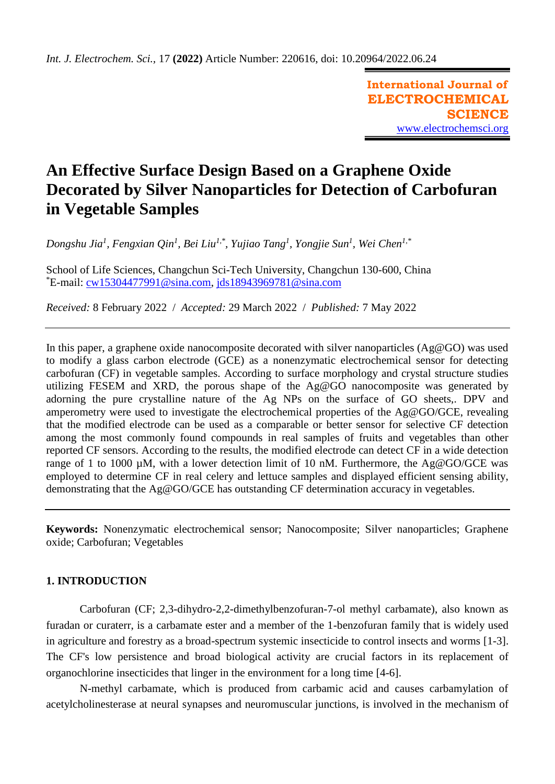**International Journal of ELECTROCHEMICAL SCIENCE** [www.electrochemsci.org](http://www.electrochemsci.org/)

# **An Effective Surface Design Based on a Graphene Oxide Decorated by Silver Nanoparticles for Detection of Carbofuran in Vegetable Samples**

*Dongshu Jia<sup>1</sup> , Fengxian Qin<sup>1</sup> , Bei Liu1,\* , Yujiao Tang<sup>1</sup> , Yongjie Sun<sup>1</sup> , Wei Chen1,\**

School of Life Sciences, Changchun Sci-Tech University, Changchun 130-600, China \*E-mail: [cw15304477991@sina.com,](mailto:cw15304477991@sina.com) [jds18943969781@sina.com](mailto:jds18943969781@sina.com)

*Received:* 8 February 2022/ *Accepted:* 29 March 2022 / *Published:* 7 May 2022

In this paper, a graphene oxide nanocomposite decorated with silver nanoparticles (Ag@GO) was used to modify a glass carbon electrode (GCE) as a nonenzymatic electrochemical sensor for detecting carbofuran (CF) in vegetable samples. According to surface morphology and crystal structure studies utilizing FESEM and XRD, the porous shape of the Ag@GO nanocomposite was generated by adorning the pure crystalline nature of the Ag NPs on the surface of GO sheets,. DPV and amperometry were used to investigate the electrochemical properties of the Ag@GO/GCE, revealing that the modified electrode can be used as a comparable or better sensor for selective CF detection among the most commonly found compounds in real samples of fruits and vegetables than other reported CF sensors. According to the results, the modified electrode can detect CF in a wide detection range of 1 to 1000 µM, with a lower detection limit of 10 nM. Furthermore, the Ag@GO/GCE was employed to determine CF in real celery and lettuce samples and displayed efficient sensing ability, demonstrating that the Ag@GO/GCE has outstanding CF determination accuracy in vegetables.

**Keywords:** Nonenzymatic electrochemical sensor; Nanocomposite; Silver nanoparticles; Graphene oxide; Carbofuran; Vegetables

## **1. INTRODUCTION**

Carbofuran (CF; 2,3-dihydro-2,2-dimethylbenzofuran-7-ol methyl carbamate), also known as furadan or curaterr, is a carbamate ester and a member of the 1-benzofuran family that is widely used in agriculture and forestry as a broad-spectrum systemic insecticide to control insects and worms [\[1-3\]](#page-8-0). The CF's low persistence and broad biological activity are crucial factors in its replacement of organochlorine insecticides that linger in the environment for a long time [\[4-6\]](#page-8-1).

N-methyl carbamate, which is produced from carbamic acid and causes carbamylation of acetylcholinesterase at neural synapses and neuromuscular junctions, is involved in the mechanism of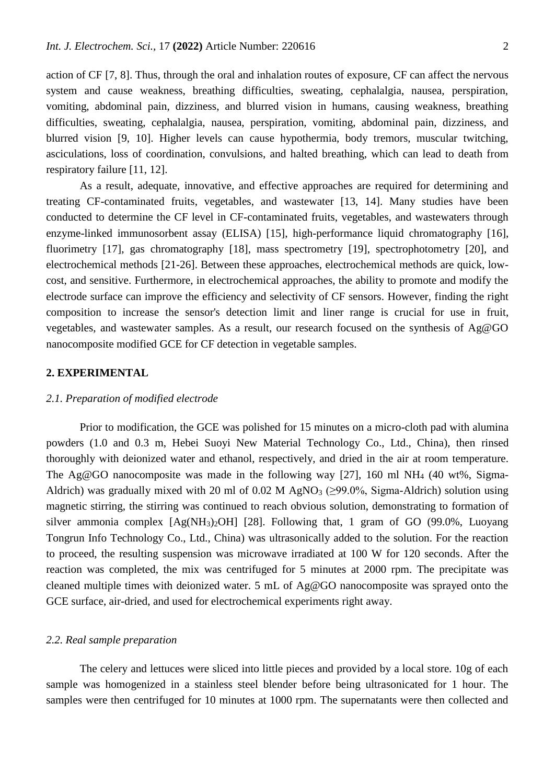action of CF [\[7,](#page-8-2) [8\]](#page-8-3). Thus, through the oral and inhalation routes of exposure, CF can affect the nervous system and cause weakness, breathing difficulties, sweating, cephalalgia, nausea, perspiration, vomiting, abdominal pain, dizziness, and blurred vision in humans, causing weakness, breathing difficulties, sweating, cephalalgia, nausea, perspiration, vomiting, abdominal pain, dizziness, and blurred vision [\[9,](#page-8-4) [10\]](#page-8-5). Higher levels can cause hypothermia, body tremors, muscular twitching, asciculations, loss of coordination, convulsions, and halted breathing, which can lead to death from respiratory failure [\[11,](#page-8-6) [12\]](#page-8-7).

As a result, adequate, innovative, and effective approaches are required for determining and treating CF-contaminated fruits, vegetables, and wastewater [\[13,](#page-8-8) [14\]](#page-8-9). Many studies have been conducted to determine the CF level in CF-contaminated fruits, vegetables, and wastewaters through enzyme-linked immunosorbent assay (ELISA) [\[15\]](#page-8-10), high-performance liquid chromatography [\[16\]](#page-9-0), fluorimetry [\[17\]](#page-9-1), gas chromatography [\[18\]](#page-9-2), mass spectrometry [\[19\]](#page-9-3), spectrophotometry [\[20\]](#page-9-4), and electrochemical methods [\[21-26\]](#page-9-5). Between these approaches, electrochemical methods are quick, lowcost, and sensitive. Furthermore, in electrochemical approaches, the ability to promote and modify the electrode surface can improve the efficiency and selectivity of CF sensors. However, finding the right composition to increase the sensor's detection limit and liner range is crucial for use in fruit, vegetables, and wastewater samples. As a result, our research focused on the synthesis of Ag@GO nanocomposite modified GCE for CF detection in vegetable samples.

## **2. EXPERIMENTAL**

## *2.1. Preparation of modified electrode*

Prior to modification, the GCE was polished for 15 minutes on a micro-cloth pad with alumina powders (1.0 and 0.3 m, Hebei Suoyi New Material Technology Co., Ltd., China), then rinsed thoroughly with deionized water and ethanol, respectively, and dried in the air at room temperature. The Ag@GO nanocomposite was made in the following way [\[27\]](#page-9-6), 160 ml NH<sub>4</sub> (40 wt%, Sigma-Aldrich) was gradually mixed with 20 ml of 0.02 M AgNO<sub>3</sub> ( $\geq$ 99.0%, Sigma-Aldrich) solution using magnetic stirring, the stirring was continued to reach obvious solution, demonstrating to formation of silver ammonia complex  $[Ag(NH_3)_2OH]$  [\[28\]](#page-9-7). Following that, 1 gram of GO (99.0%, Luoyang Tongrun Info Technology Co., Ltd., China) was ultrasonically added to the solution. For the reaction to proceed, the resulting suspension was microwave irradiated at 100 W for 120 seconds. After the reaction was completed, the mix was centrifuged for 5 minutes at 2000 rpm. The precipitate was cleaned multiple times with deionized water. 5 mL of Ag@GO nanocomposite was sprayed onto the GCE surface, air-dried, and used for electrochemical experiments right away.

## *2.2. Real sample preparation*

The celery and lettuces were sliced into little pieces and provided by a local store. 10g of each sample was homogenized in a stainless steel blender before being ultrasonicated for 1 hour. The samples were then centrifuged for 10 minutes at 1000 rpm. The supernatants were then collected and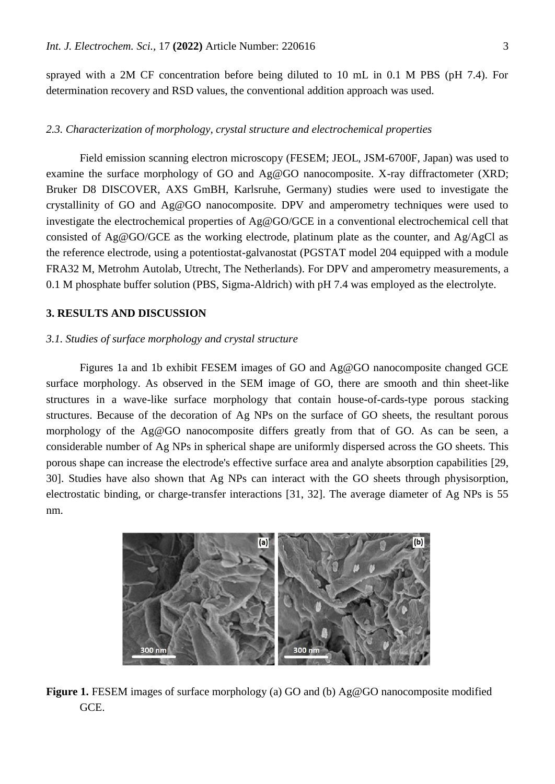sprayed with a 2M CF concentration before being diluted to 10 mL in 0.1 M PBS (pH 7.4). For determination recovery and RSD values, the conventional addition approach was used.

## *2.3. Characterization of morphology, crystal structure and electrochemical properties*

Field emission scanning electron microscopy (FESEM; JEOL, JSM-6700F, Japan) was used to examine the surface morphology of GO and Ag@GO nanocomposite. X-ray diffractometer (XRD; Bruker D8 DISCOVER, AXS GmBH, Karlsruhe, Germany) studies were used to investigate the crystallinity of GO and Ag@GO nanocomposite. DPV and amperometry techniques were used to investigate the electrochemical properties of Ag@GO/GCE in a conventional electrochemical cell that consisted of Ag@GO/GCE as the working electrode, platinum plate as the counter, and Ag/AgCl as the reference electrode, using a potentiostat-galvanostat (PGSTAT model 204 equipped with a module FRA32 M, Metrohm Autolab, Utrecht, The Netherlands). For DPV and amperometry measurements, a 0.1 M phosphate buffer solution (PBS, Sigma-Aldrich) with pH 7.4 was employed as the electrolyte.

## **3. RESULTS AND DISCUSSION**

#### *3.1. Studies of surface morphology and crystal structure*

Figures 1a and 1b exhibit FESEM images of GO and Ag@GO nanocomposite changed GCE surface morphology. As observed in the SEM image of GO, there are smooth and thin sheet-like structures in a wave-like surface morphology that contain house-of-cards-type porous stacking structures. Because of the decoration of Ag NPs on the surface of GO sheets, the resultant porous morphology of the Ag@GO nanocomposite differs greatly from that of GO. As can be seen, a considerable number of Ag NPs in spherical shape are uniformly dispersed across the GO sheets. This porous shape can increase the electrode's effective surface area and analyte absorption capabilities [\[29,](#page-9-8) [30\]](#page-9-9). Studies have also shown that Ag NPs can interact with the GO sheets through physisorption, electrostatic binding, or charge-transfer interactions [\[31,](#page-9-10) [32\]](#page-9-11). The average diameter of Ag NPs is 55 nm.



**Figure 1.** FESEM images of surface morphology (a) GO and (b) Ag@GO nanocomposite modified GCE.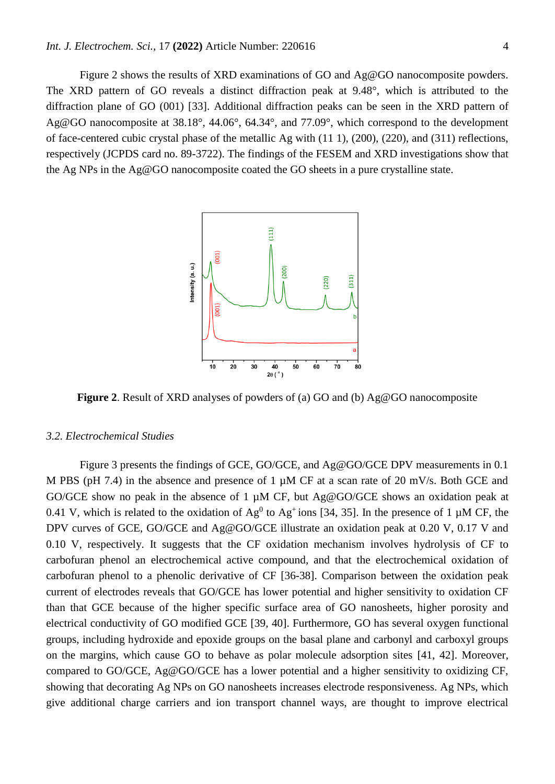Figure 2 shows the results of XRD examinations of GO and Ag@GO nanocomposite powders. The XRD pattern of GO reveals a distinct diffraction peak at 9.48°, which is attributed to the diffraction plane of GO (001) [\[33\]](#page-9-12). Additional diffraction peaks can be seen in the XRD pattern of Ag@GO nanocomposite at 38.18°, 44.06°, 64.34°, and 77.09°, which correspond to the development of face-centered cubic crystal phase of the metallic Ag with (11 1), (200), (220), and (311) reflections, respectively (JCPDS card no. 89-3722). The findings of the FESEM and XRD investigations show that the Ag NPs in the Ag@GO nanocomposite coated the GO sheets in a pure crystalline state.



**Figure 2**. Result of XRD analyses of powders of (a) GO and (b) Ag@GO nanocomposite

#### *3.2. Electrochemical Studies*

Figure 3 presents the findings of GCE, GO/GCE, and Ag@GO/GCE DPV measurements in 0.1 M PBS (pH 7.4) in the absence and presence of 1  $\mu$ M CF at a scan rate of 20 mV/s. Both GCE and GO/GCE show no peak in the absence of 1  $\mu$ M CF, but Ag@GO/GCE shows an oxidation peak at 0.41 V, which is related to the oxidation of  $Ag^0$  to  $Ag^+$ ions [\[34,](#page-9-13) [35\]](#page-9-14). In the presence of 1 µM CF, the DPV curves of GCE, GO/GCE and Ag@GO/GCE illustrate an oxidation peak at 0.20 V, 0.17 V and 0.10 V, respectively. It suggests that the CF oxidation mechanism involves hydrolysis of CF to carbofuran phenol an electrochemical active compound, and that the electrochemical oxidation of carbofuran phenol to a phenolic derivative of CF [\[36-38\]](#page-9-15). Comparison between the oxidation peak current of electrodes reveals that GO/GCE has lower potential and higher sensitivity to oxidation CF than that GCE because of the higher specific surface area of GO nanosheets, higher porosity and electrical conductivity of GO modified GCE [\[39,](#page-9-16) [40\]](#page-9-17). Furthermore, GO has several oxygen functional groups, including hydroxide and epoxide groups on the basal plane and carbonyl and carboxyl groups on the margins, which cause GO to behave as polar molecule adsorption sites [\[41,](#page-9-18) [42\]](#page-9-19). Moreover, compared to GO/GCE, Ag@GO/GCE has a lower potential and a higher sensitivity to oxidizing CF, showing that decorating Ag NPs on GO nanosheets increases electrode responsiveness. Ag NPs, which give additional charge carriers and ion transport channel ways, are thought to improve electrical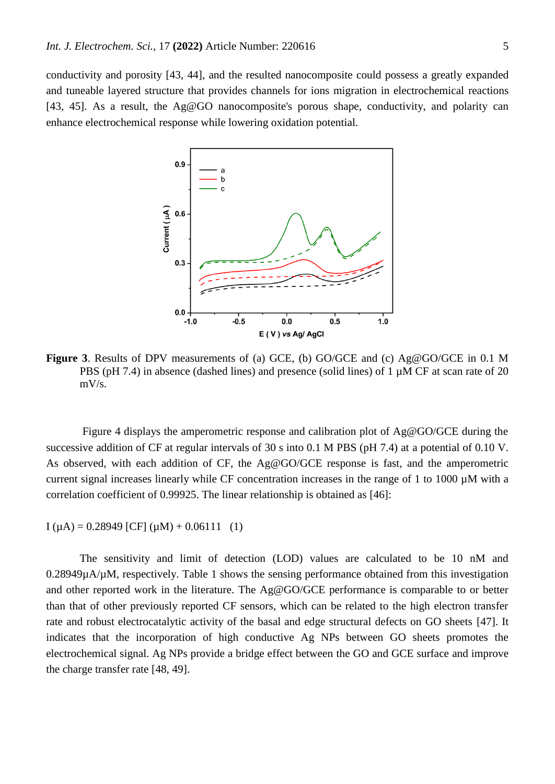conductivity and porosity [\[43,](#page-10-0) [44\]](#page-10-1), and the resulted nanocomposite could possess a greatly expanded and tuneable layered structure that provides channels for ions migration in electrochemical reactions [\[43,](#page-10-0) [45\]](#page-10-2). As a result, the Ag@GO nanocomposite's porous shape, conductivity, and polarity can enhance electrochemical response while lowering oxidation potential.



**Figure 3**. Results of DPV measurements of (a) GCE, (b) GO/GCE and (c) Ag@GO/GCE in 0.1 M PBS (pH 7.4) in absence (dashed lines) and presence (solid lines) of 1  $\mu$ M CF at scan rate of 20 mV/s.

Figure 4 displays the amperometric response and calibration plot of Ag@GO/GCE during the successive addition of CF at regular intervals of 30 s into 0.1 M PBS (pH 7.4) at a potential of 0.10 V. As observed, with each addition of CF, the Ag@GO/GCE response is fast, and the amperometric current signal increases linearly while CF concentration increases in the range of 1 to 1000 µM with a correlation coefficient of 0.99925. The linear relationship is obtained as [\[46\]](#page-10-3):

 $I(\mu A) = 0.28949$  [CF]  $(\mu M) + 0.06111$  (1)

The sensitivity and limit of detection (LOD) values are calculated to be 10 nM and 0.28949µA/µM, respectively. Table 1 shows the sensing performance obtained from this investigation and other reported work in the literature. The Ag@GO/GCE performance is comparable to or better than that of other previously reported CF sensors, which can be related to the high electron transfer rate and robust electrocatalytic activity of the basal and edge structural defects on GO sheets [\[47\]](#page-10-4). It indicates that the incorporation of high conductive Ag NPs between GO sheets promotes the electrochemical signal. Ag NPs provide a bridge effect between the GO and GCE surface and improve the charge transfer rate [\[48,](#page-10-5) [49\]](#page-10-6).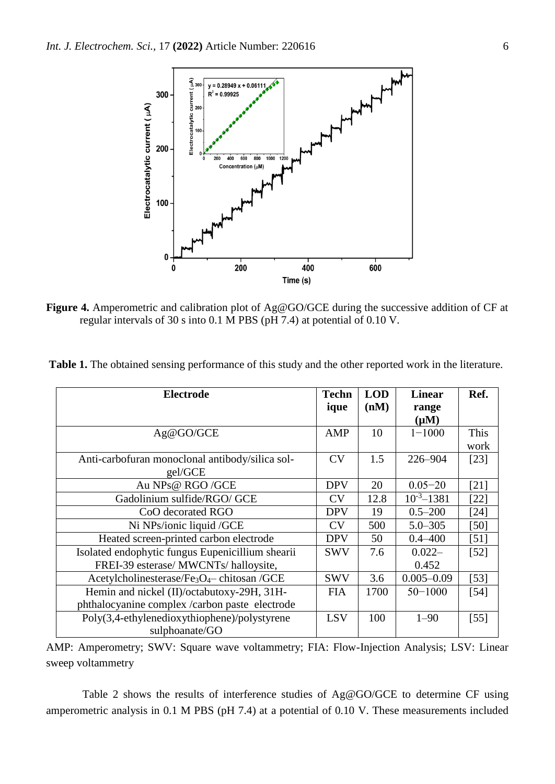

**Figure 4.** Amperometric and calibration plot of Ag@GO/GCE during the successive addition of CF at regular intervals of 30 s into 0.1 M PBS (pH 7.4) at potential of 0.10 V.

| Table 1. The obtained sensing performance of this study and the other reported work in the literature. |  |  |
|--------------------------------------------------------------------------------------------------------|--|--|
|                                                                                                        |  |  |

| <b>Electrode</b>                                     | <b>Techn</b> | <b>LOD</b> | <b>Linear</b>    | Ref.   |
|------------------------------------------------------|--------------|------------|------------------|--------|
|                                                      | ique         | (nM)       | range            |        |
|                                                      |              |            | $(\mu M)$        |        |
| Ag@GO/GCE                                            | AMP          | 10         | $1 - 1000$       | This   |
|                                                      |              |            |                  | work   |
| Anti-carbofuran monoclonal antibody/silica sol-      | <b>CV</b>    | 1.5        | 226-904          | [23]   |
| gel/GCE                                              |              |            |                  |        |
| Au NPs@ RGO/GCE                                      | <b>DPV</b>   | 20         | $0.05 - 20$      | $[21]$ |
| Gadolinium sulfide/RGO/ GCE                          | CV           | 12.8       | $10^{-3} - 1381$ | [22]   |
| CoO decorated RGO                                    | <b>DPV</b>   | 19         | $0.5 - 200$      | $[24]$ |
| Ni NPs/ionic liquid /GCE                             | CV           | 500        | $5.0 - 305$      | [50]   |
| Heated screen-printed carbon electrode               | <b>DPV</b>   | 50         | $0.4 - 400$      | $[51]$ |
| Isolated endophytic fungus Eupenicillium shearii     | <b>SWV</b>   | 7.6        | $0.022 -$        | $[52]$ |
| FREI-39 esterase/ MWCNTs/ halloysite,                |              |            | 0.452            |        |
| Acetylcholinesterase/Fe3O4-chitosan /GCE             | <b>SWV</b>   | 3.6        | $0.005 - 0.09$   | $[53]$ |
| Hemin and nickel (II)/octabutoxy-29H, 31H-           | <b>FIA</b>   | 1700       | $50 - 1000$      | [54]   |
| phthalocyanine complex /carbon paste electrode       |              |            |                  |        |
| $Poly(3,4-ethy)$ ethylenedioxythiophene)/polystyrene | <b>LSV</b>   | 100        | $1 - 90$         | $[55]$ |
| sulphoanate/GO                                       |              |            |                  |        |

AMP: Amperometry; SWV: Square wave voltammetry; FIA: Flow-Injection Analysis; LSV: Linear sweep voltammetry

Table 2 shows the results of interference studies of Ag@GO/GCE to determine CF using amperometric analysis in 0.1 M PBS (pH 7.4) at a potential of 0.10 V. These measurements included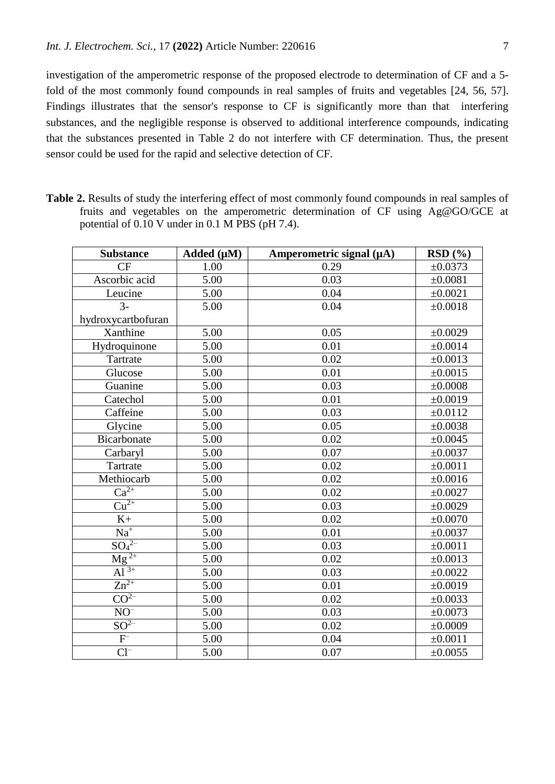investigation of the amperometric response of the proposed electrode to determination of CF and a 5 fold of the most commonly found compounds in real samples of fruits and vegetables [\[24,](#page-9-22) [56,](#page-10-13) [57\]](#page-10-14). Findings illustrates that the sensor's response to CF is significantly more than that interfering substances, and the negligible response is observed to additional interference compounds, indicating that the substances presented in Table 2 do not interfere with CF determination. Thus, the present sensor could be used for the rapid and selective detection of CF.

**Table 2.** Results of study the interfering effect of most commonly found compounds in real samples of fruits and vegetables on the amperometric determination of CF using Ag@GO/GCE at potential of 0.10 V under in 0.1 M PBS (pH 7.4).

| <b>Substance</b>              | Added $(\mu M)$ | Amperometric signal $(\mu A)$ | RSD(%)       |
|-------------------------------|-----------------|-------------------------------|--------------|
| CF                            | 1.00            | 0.29                          | ±0.0373      |
| Ascorbic acid                 | 5.00            | 0.03                          | ±0.0081      |
| Leucine                       | 5.00            | 0.04                          | ±0.0021      |
| $\overline{3}$ -              | 5.00            | 0.04                          | ±0.0018      |
| hydroxycartbofuran            |                 |                               |              |
| Xanthine                      | 5.00            | 0.05                          | ±0.0029      |
| Hydroquinone                  | 5.00            | 0.01                          | ±0.0014      |
| Tartrate                      | 5.00            | 0.02                          | ±0.0013      |
| Glucose                       | 5.00            | 0.01                          | ±0.0015      |
| Guanine                       | 5.00            | 0.03                          | ±0.0008      |
| Catechol                      | 5.00            | 0.01                          | ±0.0019      |
| Caffeine                      | 5.00            | 0.03                          | ±0.0112      |
| Glycine                       | 5.00            | 0.05                          | ±0.0038      |
| Bicarbonate                   | 5.00            | 0.02                          | ±0.0045      |
| Carbaryl                      | 5.00            | 0.07                          | ±0.0037      |
| Tartrate                      | 5.00            | 0.02                          | ±0.0011      |
| Methiocarb                    | 5.00            | 0.02                          | ±0.0016      |
| $\overline{\text{Ca}^{2+}}$   | 5.00            | 0.02                          | ±0.0027      |
| $\overline{\mathrm{Cu}^{2+}}$ | 5.00            | 0.03                          | ±0.0029      |
| $K+$                          | 5.00            | 0.02                          | ±0.0070      |
| $Na+$                         | 5.00            | 0.01                          | $\pm 0.0037$ |
| $\underline{SO_4}^{2-}$       | 5.00            | 0.03                          | ±0.0011      |
| $\overline{\text{Mg}^{2+}}$   | 5.00            | 0.02                          | ±0.0013      |
| $\overline{Al}^{3+}$          | 5.00            | 0.03                          | $\pm 0.0022$ |
| $Zn^{2+}$                     | 5.00            | 0.01                          | ±0.0019      |
| CO <sup>2</sup>               | 5.00            | 0.02                          | $\pm 0.0033$ |
| $\mathrm{NO}^-$               | 5.00            | 0.03                          | ±0.0073      |
| $SO^{2-}$                     | 5.00            | 0.02                          | ±0.0009      |
| $\mathbf{F}^\text{-}$         | 5.00            | 0.04                          | ±0.0011      |
| $Cl^{-}$                      | 5.00            | 0.07                          | $\pm 0.0055$ |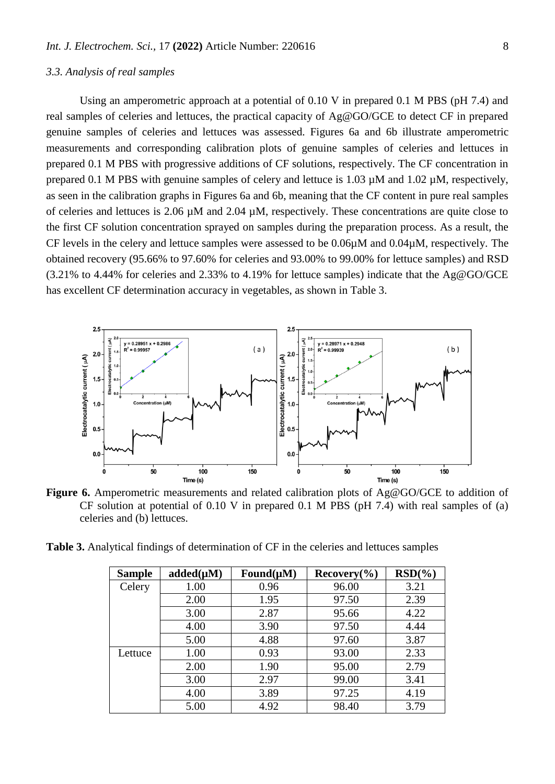#### *3.3. Analysis of real samples*

Using an amperometric approach at a potential of 0.10 V in prepared 0.1 M PBS (pH 7.4) and real samples of celeries and lettuces, the practical capacity of Ag@GO/GCE to detect CF in prepared genuine samples of celeries and lettuces was assessed. Figures 6a and 6b illustrate amperometric measurements and corresponding calibration plots of genuine samples of celeries and lettuces in prepared 0.1 M PBS with progressive additions of CF solutions, respectively. The CF concentration in prepared 0.1 M PBS with genuine samples of celery and lettuce is 1.03  $\mu$ M and 1.02  $\mu$ M, respectively, as seen in the calibration graphs in Figures 6a and 6b, meaning that the CF content in pure real samples of celeries and lettuces is 2.06 µM and 2.04 µM, respectively. These concentrations are quite close to the first CF solution concentration sprayed on samples during the preparation process. As a result, the CF levels in the celery and lettuce samples were assessed to be 0.06µM and 0.04µM, respectively. The obtained recovery (95.66% to 97.60% for celeries and 93.00% to 99.00% for lettuce samples) and RSD (3.21% to 4.44% for celeries and 2.33% to 4.19% for lettuce samples) indicate that the Ag@GO/GCE has excellent CF determination accuracy in vegetables, as shown in Table 3.



**Figure 6.** Amperometric measurements and related calibration plots of Ag@GO/GCE to addition of CF solution at potential of  $0.10$  V in prepared  $0.1$  M PBS (pH 7.4) with real samples of (a) celeries and (b) lettuces.

**Table 3.** Analytical findings of determination of CF in the celeries and lettuces samples

| <b>Sample</b> | $added(\mu M)$ | Found $(\mu M)$ | Recovery( <sub>0</sub> ) | $RSD(\%)$ |
|---------------|----------------|-----------------|--------------------------|-----------|
| Celery        | 1.00           | 0.96            | 96.00                    | 3.21      |
|               | 2.00           | 1.95            | 97.50                    | 2.39      |
|               | 3.00           | 2.87            | 95.66                    | 4.22      |
|               | 4.00           | 3.90            | 97.50                    | 4.44      |
|               | 5.00           | 4.88            | 97.60                    | 3.87      |
| Lettuce       | 1.00           | 0.93            | 93.00                    | 2.33      |
|               | 2.00           | 1.90            | 95.00                    | 2.79      |
|               | 3.00           | 2.97            | 99.00                    | 3.41      |
|               | 4.00           | 3.89            | 97.25                    | 4.19      |
|               | 5.00           | 4.92            | 98.40                    | 3.79      |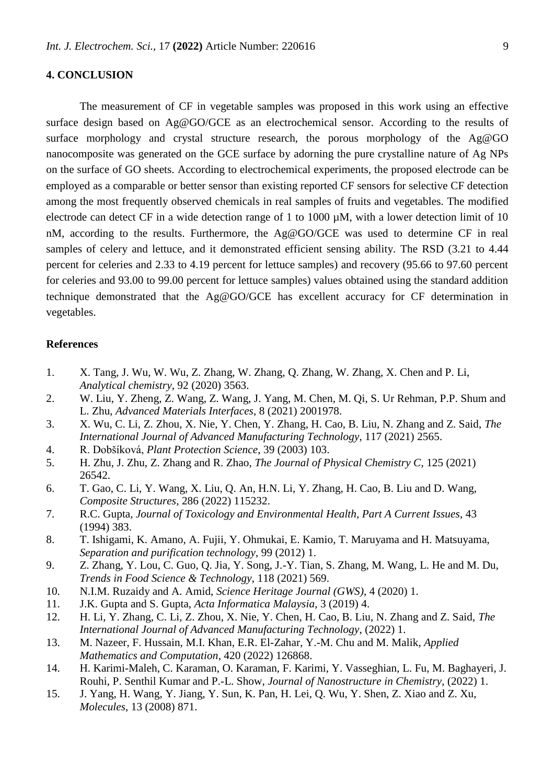## **4. CONCLUSION**

The measurement of CF in vegetable samples was proposed in this work using an effective surface design based on Ag@GO/GCE as an electrochemical sensor. According to the results of surface morphology and crystal structure research, the porous morphology of the Ag@GO nanocomposite was generated on the GCE surface by adorning the pure crystalline nature of Ag NPs on the surface of GO sheets. According to electrochemical experiments, the proposed electrode can be employed as a comparable or better sensor than existing reported CF sensors for selective CF detection among the most frequently observed chemicals in real samples of fruits and vegetables. The modified electrode can detect CF in a wide detection range of 1 to 1000  $\mu$ M, with a lower detection limit of 10 nM, according to the results. Furthermore, the Ag@GO/GCE was used to determine CF in real samples of celery and lettuce, and it demonstrated efficient sensing ability. The RSD (3.21 to 4.44 percent for celeries and 2.33 to 4.19 percent for lettuce samples) and recovery (95.66 to 97.60 percent for celeries and 93.00 to 99.00 percent for lettuce samples) values obtained using the standard addition technique demonstrated that the Ag@GO/GCE has excellent accuracy for CF determination in vegetables.

## **References**

- <span id="page-8-0"></span>1. X. Tang, J. Wu, W. Wu, Z. Zhang, W. Zhang, Q. Zhang, W. Zhang, X. Chen and P. Li, *Analytical chemistry*, 92 (2020) 3563.
- 2. W. Liu, Y. Zheng, Z. Wang, Z. Wang, J. Yang, M. Chen, M. Qi, S. Ur Rehman, P.P. Shum and L. Zhu, *Advanced Materials Interfaces*, 8 (2021) 2001978.
- 3. X. Wu, C. Li, Z. Zhou, X. Nie, Y. Chen, Y. Zhang, H. Cao, B. Liu, N. Zhang and Z. Said, *The International Journal of Advanced Manufacturing Technology*, 117 (2021) 2565.
- <span id="page-8-1"></span>4. R. Dobšíková, *Plant Protection Science*, 39 (2003) 103.
- 5. H. Zhu, J. Zhu, Z. Zhang and R. Zhao, *The Journal of Physical Chemistry C*, 125 (2021) 26542.
- 6. T. Gao, C. Li, Y. Wang, X. Liu, Q. An, H.N. Li, Y. Zhang, H. Cao, B. Liu and D. Wang, *Composite Structures*, 286 (2022) 115232.
- <span id="page-8-2"></span>7. R.C. Gupta, *Journal of Toxicology and Environmental Health, Part A Current Issues*, 43 (1994) 383.
- <span id="page-8-3"></span>8. T. Ishigami, K. Amano, A. Fujii, Y. Ohmukai, E. Kamio, T. Maruyama and H. Matsuyama, *Separation and purification technology*, 99 (2012) 1.
- <span id="page-8-4"></span>9. Z. Zhang, Y. Lou, C. Guo, Q. Jia, Y. Song, J.-Y. Tian, S. Zhang, M. Wang, L. He and M. Du, *Trends in Food Science & Technology*, 118 (2021) 569.
- <span id="page-8-5"></span>10. N.I.M. Ruzaidy and A. Amid, *Science Heritage Journal (GWS)*, 4 (2020) 1.
- <span id="page-8-6"></span>11. J.K. Gupta and S. Gupta, *Acta Informatica Malaysia*, 3 (2019) 4.
- <span id="page-8-7"></span>12. H. Li, Y. Zhang, C. Li, Z. Zhou, X. Nie, Y. Chen, H. Cao, B. Liu, N. Zhang and Z. Said, *The International Journal of Advanced Manufacturing Technology*, (2022) 1.
- <span id="page-8-8"></span>13. M. Nazeer, F. Hussain, M.I. Khan, E.R. El-Zahar, Y.-M. Chu and M. Malik, *Applied Mathematics and Computation*, 420 (2022) 126868.
- <span id="page-8-9"></span>14. H. Karimi-Maleh, C. Karaman, O. Karaman, F. Karimi, Y. Vasseghian, L. Fu, M. Baghayeri, J. Rouhi, P. Senthil Kumar and P.-L. Show, *Journal of Nanostructure in Chemistry*, (2022) 1.
- <span id="page-8-10"></span>15. J. Yang, H. Wang, Y. Jiang, Y. Sun, K. Pan, H. Lei, Q. Wu, Y. Shen, Z. Xiao and Z. Xu, *Molecules*, 13 (2008) 871.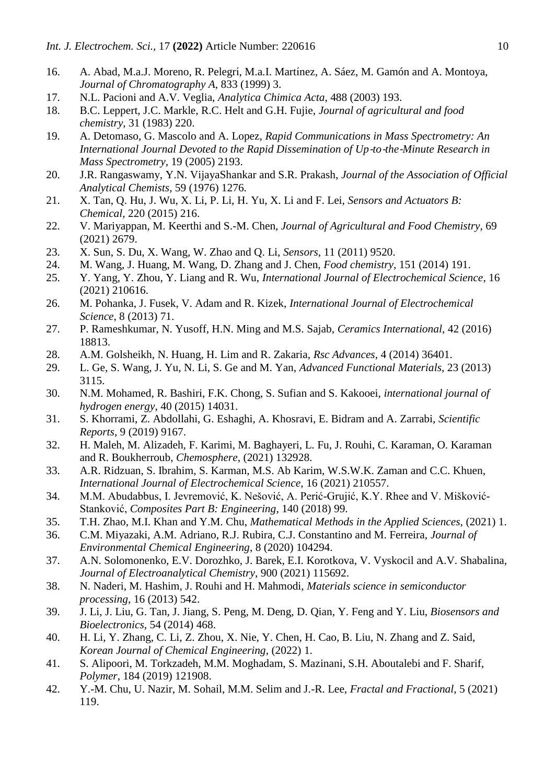- <span id="page-9-0"></span>16. A. Abad, M.a.J. Moreno, R. Pelegrí, M.a.I. Martínez, A. Sáez, M. Gamón and A. Montoya, *Journal of Chromatography A*, 833 (1999) 3.
- <span id="page-9-1"></span>17. N.L. Pacioni and A.V. Veglia, *Analytica Chimica Acta*, 488 (2003) 193.
- <span id="page-9-2"></span>18. B.C. Leppert, J.C. Markle, R.C. Helt and G.H. Fujie, *Journal of agricultural and food chemistry*, 31 (1983) 220.
- <span id="page-9-3"></span>19. A. Detomaso, G. Mascolo and A. Lopez, *Rapid Communications in Mass Spectrometry: An International Journal Devoted to the Rapid Dissemination of Up-to-the-Minute Research in Mass Spectrometry*, 19 (2005) 2193.
- <span id="page-9-4"></span>20. J.R. Rangaswamy, Y.N. VijayaShankar and S.R. Prakash, *Journal of the Association of Official Analytical Chemists*, 59 (1976) 1276.
- <span id="page-9-5"></span>21. X. Tan, Q. Hu, J. Wu, X. Li, P. Li, H. Yu, X. Li and F. Lei, *Sensors and Actuators B: Chemical*, 220 (2015) 216.
- <span id="page-9-21"></span>22. V. Mariyappan, M. Keerthi and S.-M. Chen, *Journal of Agricultural and Food Chemistry*, 69 (2021) 2679.
- <span id="page-9-20"></span>23. X. Sun, S. Du, X. Wang, W. Zhao and Q. Li, *Sensors*, 11 (2011) 9520.
- <span id="page-9-22"></span>24. M. Wang, J. Huang, M. Wang, D. Zhang and J. Chen, *Food chemistry*, 151 (2014) 191.
- 25. Y. Yang, Y. Zhou, Y. Liang and R. Wu, *International Journal of Electrochemical Science*, 16 (2021) 210616.
- 26. M. Pohanka, J. Fusek, V. Adam and R. Kizek, *International Journal of Electrochemical Science*, 8 (2013) 71.
- <span id="page-9-6"></span>27. P. Rameshkumar, N. Yusoff, H.N. Ming and M.S. Sajab, *Ceramics International*, 42 (2016) 18813.
- <span id="page-9-7"></span>28. A.M. Golsheikh, N. Huang, H. Lim and R. Zakaria, *Rsc Advances*, 4 (2014) 36401.
- <span id="page-9-8"></span>29. L. Ge, S. Wang, J. Yu, N. Li, S. Ge and M. Yan, *Advanced Functional Materials*, 23 (2013) 3115.
- <span id="page-9-9"></span>30. N.M. Mohamed, R. Bashiri, F.K. Chong, S. Sufian and S. Kakooei, *international journal of hydrogen energy*, 40 (2015) 14031.
- <span id="page-9-10"></span>31. S. Khorrami, Z. Abdollahi, G. Eshaghi, A. Khosravi, E. Bidram and A. Zarrabi, *Scientific Reports*, 9 (2019) 9167.
- <span id="page-9-11"></span>32. H. Maleh, M. Alizadeh, F. Karimi, M. Baghayeri, L. Fu, J. Rouhi, C. Karaman, O. Karaman and R. Boukherroub, *Chemosphere*, (2021) 132928.
- <span id="page-9-12"></span>33. A.R. Ridzuan, S. Ibrahim, S. Karman, M.S. Ab Karim, W.S.W.K. Zaman and C.C. Khuen, *International Journal of Electrochemical Science*, 16 (2021) 210557.
- <span id="page-9-13"></span>34. M.M. Abudabbus, I. Jevremović, K. Nešović, A. Perić-Grujić, K.Y. Rhee and V. Mišković-Stanković, *Composites Part B: Engineering*, 140 (2018) 99.
- <span id="page-9-14"></span>35. T.H. Zhao, M.I. Khan and Y.M. Chu, *Mathematical Methods in the Applied Sciences*, (2021) 1.
- <span id="page-9-15"></span>36. C.M. Miyazaki, A.M. Adriano, R.J. Rubira, C.J. Constantino and M. Ferreira, *Journal of Environmental Chemical Engineering*, 8 (2020) 104294.
- 37. A.N. Solomonenko, E.V. Dorozhko, J. Barek, E.I. Korotkova, V. Vyskocil and A.V. Shabalina, *Journal of Electroanalytical Chemistry*, 900 (2021) 115692.
- 38. N. Naderi, M. Hashim, J. Rouhi and H. Mahmodi, *Materials science in semiconductor processing*, 16 (2013) 542.
- <span id="page-9-16"></span>39. J. Li, J. Liu, G. Tan, J. Jiang, S. Peng, M. Deng, D. Qian, Y. Feng and Y. Liu, *Biosensors and Bioelectronics*, 54 (2014) 468.
- <span id="page-9-17"></span>40. H. Li, Y. Zhang, C. Li, Z. Zhou, X. Nie, Y. Chen, H. Cao, B. Liu, N. Zhang and Z. Said, *Korean Journal of Chemical Engineering*, (2022) 1.
- <span id="page-9-18"></span>41. S. Alipoori, M. Torkzadeh, M.M. Moghadam, S. Mazinani, S.H. Aboutalebi and F. Sharif, *Polymer*, 184 (2019) 121908.
- <span id="page-9-19"></span>42. Y.-M. Chu, U. Nazir, M. Sohail, M.M. Selim and J.-R. Lee, *Fractal and Fractional*, 5 (2021) 119.